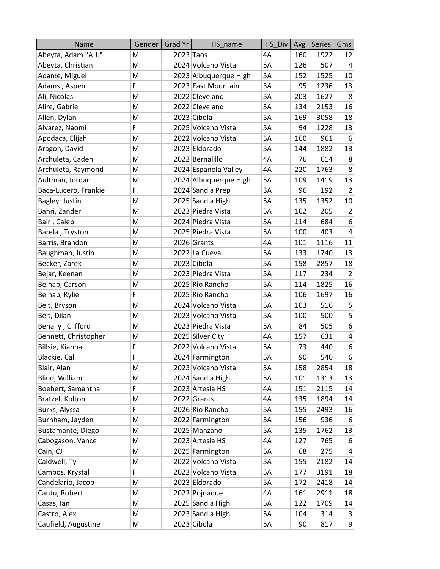| Name                 | Gender | Grad Yr   | HS name               | HS Div | Avg             | <b>Series</b> | Gms                     |
|----------------------|--------|-----------|-----------------------|--------|-----------------|---------------|-------------------------|
| Abeyta, Adam "A.J."  | M      | 2023 Taos |                       | 4A     | 160             | 1922          | 12                      |
| Abeyta, Christian    | M      |           | 2024 Volcano Vista    | 5A     | 126             | 507           | 4                       |
| Adame, Miguel        | M      |           | 2023 Albuquerque High | 5A     | 152             | 1525          | 10                      |
| Adams, Aspen         | F      |           | 2023 East Mountain    | 3A     | 95              | 1236          | 13                      |
| Ali, Nicolas         | M      |           | 2022 Cleveland        | 5A     | 203             | 1627          | 8                       |
| Alire, Gabriel       | M      |           | 2022 Cleveland        | 5A     | 134             | 2153          | 16                      |
| Allen, Dylan         | M      |           | 2023 Cibola           | 5A     | 169             | 3058          | 18                      |
| Alvarez, Naomi       | F      |           | 2025 Volcano Vista    | 5A     | 94              | 1228          | 13                      |
| Apodaca, Elijah      | M      |           | 2022 Volcano Vista    | 5A     | 160             | 961           | 6                       |
| Aragon, David        | M      |           | 2023 Eldorado         | 5A     | 144             | 1882          | 13                      |
| Archuleta, Caden     | M      |           | 2022 Bernalillo       | 4A     | 76              | 614           | 8                       |
| Archuleta, Raymond   | M      |           | 2024 Espanola Valley  | 4A     | 220             | 1763          | 8                       |
| Aultman, Jordan      | M      |           | 2024 Albuquerque High | 5A     | 109             | 1419          | 13                      |
| Baca-Lucero, Frankie | F      |           | 2024 Sandia Prep      | 3A     | 96              | 192           | $\overline{2}$          |
| Bagley, Justin       | M      |           | 2025 Sandia High      | 5A     | 135             | 1352          | 10                      |
| Bahri, Zander        | M      |           | 2023 Piedra Vista     | 5A     | 102             | 205           | $\overline{2}$          |
| Bair, Caleb          | M      |           | 2024 Piedra Vista     | 5A     | 114             | 684           | 6                       |
| Barela, Tryston      | M      |           | 2025 Piedra Vista     | 5A     | 100             | 403           | 4                       |
| Barris, Brandon      | M      |           | 2026 Grants           | 4A     | 101             | 1116          | 11                      |
| Baughman, Justin     | M      |           | 2022 La Cueva         | 5A     | 133             | 1740          | 13                      |
| Becker, Zarek        | M      |           | 2023 Cibola           | 5A     | 158             | 2857          | 18                      |
| Bejar, Keenan        | M      |           | 2023 Piedra Vista     | 5A     | 117             | 234           | $\overline{2}$          |
| Belnap, Carson       | M      |           | 2025 Rio Rancho       | 5A     | 114             | 1825          | 16                      |
| Belnap, Kylie        | F      |           | 2025 Rio Rancho       | 5A     | 106             | 1697          | 16                      |
| Belt, Bryson         | M      |           | 2024 Volcano Vista    | 5A     | 103             | 516           | $\overline{5}$          |
| Belt, Dilan          | M      |           | 2023 Volcano Vista    | 5A     | 100             | 500           | 5                       |
| Benally, Clifford    | M      |           | 2023 Piedra Vista     | 5A     | 84              | 505           | 6                       |
| Bennett, Christopher | M      |           | 2025 Silver City      | 4A     | 157             | 631           | $\overline{\mathbf{4}}$ |
| Billsie, Kianna      | F      |           | 2022 Volcano Vista    | 5A     | 73              | 440           | $6 \overline{6}$        |
| Blackie, Cali        | F      |           | 2024 Farmington       | 5A     | 90 <sup>°</sup> | 540           | $6 \overline{6}$        |
| Blair, Alan          | M      |           | 2023 Volcano Vista    | 5A     | 158             | 2854          | 18                      |
| Blind, William       | M      |           | 2024 Sandia High      | 5А     | 101             | 1313          | 13                      |
| Boebert, Samantha    | F      |           | 2023 Artesia HS       | 4A     | 151             | 2115          | 14                      |
| Bratzel, Kolton      | M      |           | 2022 Grants           | 4А     | 135             | 1894          | 14                      |
| Burks, Alyssa        | F      |           | 2026 Rio Rancho       | 5A     | 155             | 2493          | 16                      |
| Burnham, Jayden      | M      |           | 2022 Farmington       | 5A     | 156             | 936           | 6                       |
| Bustamante, Diego    | M      |           | 2025 Manzano          | 5A     | 135             | 1762          | 13                      |
| Cabogason, Vance     | M      |           | 2023 Artesia HS       | 4A     | 127             | 765           | 6                       |
| Cain, CJ             | M      |           | 2025 Farmington       | 5A     | 68              | 275           | $\overline{4}$          |
| Caldwell, Ty         | M      |           | 2022 Volcano Vista    | 5A     | 155             | 2182          | 14                      |
| Campos, Krystal      | F      |           | 2022 Volcano Vista    | 5A     | 177             | 3191          | 18                      |
| Candelario, Jacob    | M      |           | 2023 Eldorado         | 5A     | 172             | 2418          | 14                      |
| Cantu, Robert        | M      |           | 2022 Pojoaque         | 4А     | 161             | 2911          | 18                      |
| Casas, Ian           | M      |           | 2025 Sandia High      | 5A     | 122             | 1709          | 14                      |
| Castro, Alex         | М      |           | 2023 Sandia High      | 5A     | 104             | 314           | $\vert 3 \vert$         |
| Caufield, Augustine  | M      |           | 2023 Cibola           | 5A     | 90 <sup>°</sup> | 817           | 9                       |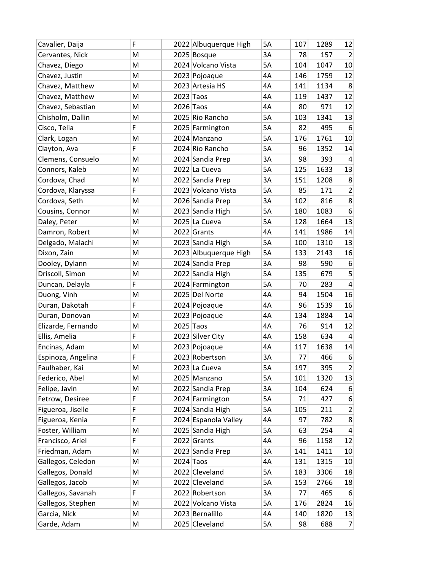| Cavalier, Daija    | F |             | 2022 Albuquerque High | 5A | 107 | 1289 | 12               |
|--------------------|---|-------------|-----------------------|----|-----|------|------------------|
| Cervantes, Nick    | M |             | 2025 Bosque           | 3A | 78  | 157  | $\overline{2}$   |
| Chavez, Diego      | M |             | 2024 Volcano Vista    | 5A | 104 | 1047 | 10               |
| Chavez, Justin     | M |             | 2023 Pojoaque         | 4A | 146 | 1759 | 12               |
| Chavez, Matthew    | M |             | 2023 Artesia HS       | 4A | 141 | 1134 | 8                |
| Chavez, Matthew    | M |             | $2023$ Taos           | 4A | 119 | 1437 | 12               |
| Chavez, Sebastian  | M | $2026$ Taos |                       | 4A | 80  | 971  | 12               |
| Chisholm, Dallin   | M |             | 2025 Rio Rancho       | 5A | 103 | 1341 | 13               |
| Cisco, Telia       | F |             | 2025 Farmington       | 5A | 82  | 495  | $6 \overline{6}$ |
| Clark, Logan       | M |             | 2024 Manzano          | 5A | 176 | 1761 | 10               |
| Clayton, Ava       | F |             | 2024 Rio Rancho       | 5A | 96  | 1352 | 14               |
| Clemens, Consuelo  | M |             | 2024 Sandia Prep      | 3A | 98  | 393  | 4                |
| Connors, Kaleb     | M |             | 2022 La Cueva         | 5A | 125 | 1633 | 13               |
| Cordova, Chad      | M |             | 2022 Sandia Prep      | 3A | 151 | 1208 | $\bf 8$          |
| Cordova, Klaryssa  | F |             | 2023 Volcano Vista    | 5A | 85  | 171  | $\overline{2}$   |
| Cordova, Seth      | M |             | 2026 Sandia Prep      | 3A | 102 | 816  | $\bf 8$          |
| Cousins, Connor    | M |             | 2023 Sandia High      | 5A | 180 | 1083 | 6                |
| Daley, Peter       | M |             | 2025 La Cueva         | 5A | 128 | 1664 | 13               |
| Damron, Robert     | M |             | 2022 Grants           | 4A | 141 | 1986 | 14               |
| Delgado, Malachi   | M |             | 2023 Sandia High      | 5A | 100 | 1310 | 13               |
| Dixon, Zain        | M |             | 2023 Albuquerque High | 5A | 133 | 2143 | 16               |
| Dooley, Dylann     | M |             | 2024 Sandia Prep      | 3A | 98  | 590  | 6                |
| Driscoll, Simon    | M |             | 2022 Sandia High      | 5A | 135 | 679  | 5                |
| Duncan, Delayla    | F |             | 2024 Farmington       | 5A | 70  | 283  | $\overline{4}$   |
| Duong, Vinh        | M |             | 2025 Del Norte        | 4A | 94  | 1504 | 16               |
| Duran, Dakotah     | F |             | 2024 Pojoaque         | 4A | 96  | 1539 | 16               |
| Duran, Donovan     | M |             | 2023 Pojoaque         | 4A | 134 | 1884 | 14               |
| Elizarde, Fernando | M | 2025 Taos   |                       | 4A | 76  | 914  | 12               |
| Ellis, Amelia      | F |             | 2023 Silver City      | 4A | 158 | 634  | 4                |
| Encinas, Adam      | M |             | 2023 Pojoaque         | 4A | 117 | 1638 | 14               |
| Espinoza, Angelina | F |             | 2023 Robertson        | 3A | 77  | 466  | $6 \overline{6}$ |
| Faulhaber, Kai     | M |             | 2023 La Cueva         | 5A | 197 | 395  | $\overline{2}$   |
| Federico, Abel     | M |             | 2025 Manzano          | 5A | 101 | 1320 | 13               |
| Felipe, Javin      | M |             | 2022 Sandia Prep      | 3A | 104 | 624  | 6                |
| Fetrow, Desiree    | F |             | 2024 Farmington       | 5A | 71  | 427  | 6                |
| Figueroa, Jiselle  | F |             | 2024 Sandia High      | 5A | 105 | 211  | 2                |
| Figueroa, Kenia    | F |             | 2024 Espanola Valley  | 4A | 97  | 782  | 8                |
| Foster, William    | M |             | 2025 Sandia High      | 5A | 63  | 254  | 4                |
| Francisco, Ariel   | F |             | 2022 Grants           | 4A | 96  | 1158 | 12               |
| Friedman, Adam     | M |             | 2023 Sandia Prep      | 3A | 141 | 1411 | 10               |
| Gallegos, Celedon  | M |             | $2024$ Taos           | 4A | 131 | 1315 | 10               |
| Gallegos, Donald   | M |             | 2022 Cleveland        | 5A | 183 | 3306 | 18               |
| Gallegos, Jacob    | M |             | 2022 Cleveland        | 5A | 153 | 2766 | 18               |
| Gallegos, Savanah  | F |             | 2022 Robertson        | 3A | 77  | 465  | 6                |
| Gallegos, Stephen  | M |             | 2022 Volcano Vista    | 5A | 176 | 2824 | 16               |
| Garcia, Nick       | M |             | 2023 Bernalillo       | 4A | 140 | 1820 | 13               |
| Garde, Adam        | M |             | 2025 Cleveland        | 5A | 98  | 688  | $\overline{7}$   |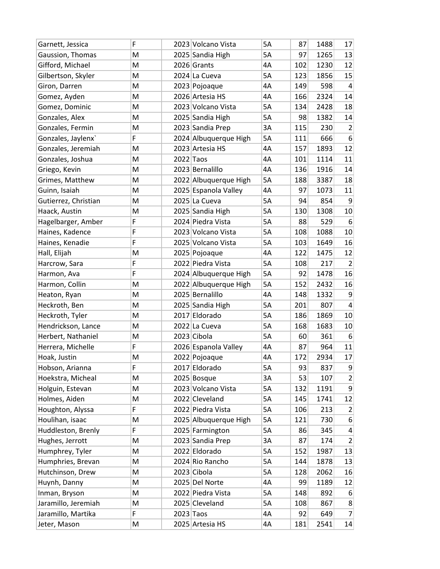| Garnett, Jessica     | F | 2023 Volcano Vista    | 5A | 87  | 1488 | 17               |
|----------------------|---|-----------------------|----|-----|------|------------------|
| Gaussion, Thomas     | M | 2025 Sandia High      | 5A | 97  | 1265 | 13               |
| Gifford, Michael     | M | 2026 Grants           | 4A | 102 | 1230 | 12               |
| Gilbertson, Skyler   | M | 2024 La Cueva         | 5A | 123 | 1856 | 15               |
| Giron, Darren        | M | 2023 Pojoaque         | 4A | 149 | 598  | $\overline{4}$   |
| Gomez, Ayden         | M | 2026 Artesia HS       | 4A | 166 | 2324 | 14               |
| Gomez, Dominic       | M | 2023 Volcano Vista    | 5A | 134 | 2428 | 18               |
| Gonzales, Alex       | M | 2025 Sandia High      | 5А | 98  | 1382 | 14               |
| Gonzales, Fermin     | M | 2023 Sandia Prep      | 3A | 115 | 230  | $\overline{2}$   |
| Gonzales, Jaylenx    | F | 2024 Albuquerque High | 5A | 111 | 666  | $6 \overline{6}$ |
| Gonzales, Jeremiah   | M | 2023 Artesia HS       | 4A | 157 | 1893 | 12               |
| Gonzales, Joshua     | M | $2022$ Taos           | 4A | 101 | 1114 | 11               |
| Griego, Kevin        | M | 2023 Bernalillo       | 4A | 136 | 1916 | 14               |
| Grimes, Matthew      | M | 2022 Albuquerque High | 5A | 188 | 3387 | 18               |
| Guinn, Isaiah        | M | 2025 Espanola Valley  | 4A | 97  | 1073 | 11               |
| Gutierrez, Christian | M | 2025 La Cueva         | 5A | 94  | 854  | 9                |
| Haack, Austin        | M | 2025 Sandia High      | 5A | 130 | 1308 | 10               |
| Hagelbarger, Amber   | F | 2024 Piedra Vista     | 5A | 88  | 529  | 6                |
| Haines, Kadence      | F | 2023 Volcano Vista    | 5A | 108 | 1088 | 10               |
| Haines, Kenadie      | F | 2025 Volcano Vista    | 5A | 103 | 1649 | 16               |
| Hall, Elijah         | M | 2025 Pojoaque         | 4A | 122 | 1475 | 12               |
| Harcrow, Sara        | F | 2022 Piedra Vista     | 5A | 108 | 217  | $\overline{2}$   |
| Harmon, Ava          | F | 2024 Albuquerque High | 5A | 92  | 1478 | 16               |
| Harmon, Collin       | M | 2022 Albuquerque High | 5A | 152 | 2432 | 16               |
| Heaton, Ryan         | M | 2025 Bernalillo       | 4A | 148 | 1332 | 9                |
| Heckroth, Ben        | M | 2025 Sandia High      | 5A | 201 | 807  | $\overline{4}$   |
| Heckroth, Tyler      | M | 2017 Eldorado         | 5A | 186 | 1869 | 10               |
| Hendrickson, Lance   | M | 2022 La Cueva         | 5A | 168 | 1683 | 10               |
| Herbert, Nathaniel   | M | 2023 Cibola           | 5A | 60  | 361  | 6 <sup>1</sup>   |
| Herrera, Michelle    | F | 2026 Espanola Valley  | 4A | 87  | 964  | 11               |
| Hoak, Justin         | M | 2022 Pojoaque         | 4A | 172 | 2934 | 17               |
| Hobson, Arianna      | F | 2017 Eldorado         | 5A | 93  | 837  | 9                |
| Hoekstra, Micheal    | M | 2025 Bosque           | 3A | 53  | 107  | $\mathbf{2}$     |
| Holguin, Estevan     | M | 2023 Volcano Vista    | 5A | 132 | 1191 | $\mathsf g$      |
| Holmes, Aiden        | M | 2022 Cleveland        | 5A | 145 | 1741 | 12               |
| Houghton, Alyssa     | F | 2022 Piedra Vista     | 5A | 106 | 213  | $\overline{2}$   |
| Houlihan, isaac      | M | 2025 Albuquerque High | 5A | 121 | 730  | 6                |
| Huddleston, Brenly   | F | 2025 Farmington       | 5A | 86  | 345  | $\overline{4}$   |
| Hughes, Jerrott      | M | 2023 Sandia Prep      | 3A | 87  | 174  | $\overline{2}$   |
| Humphrey, Tyler      | M | 2022 Eldorado         | 5A | 152 | 1987 | 13               |
| Humphries, Brevan    | M | 2024 Rio Rancho       | 5A | 144 | 1878 | 13               |
| Hutchinson, Drew     | M | 2023 Cibola           | 5A | 128 | 2062 | 16               |
| Huynh, Danny         | M | 2025 Del Norte        | 4A | 99  | 1189 | 12               |
| Inman, Bryson        | M | 2022 Piedra Vista     | 5A | 148 | 892  | 6                |
| Jaramillo, Jeremiah  | M | 2025 Cleveland        | 5А | 108 | 867  | 8 <sup>2</sup>   |
| Jaramillo, Martika   | F | $2023$ Taos           | 4A | 92  | 649  | $\overline{7}$   |
| Jeter, Mason         | M | 2025 Artesia HS       | 4А | 181 | 2541 | 14               |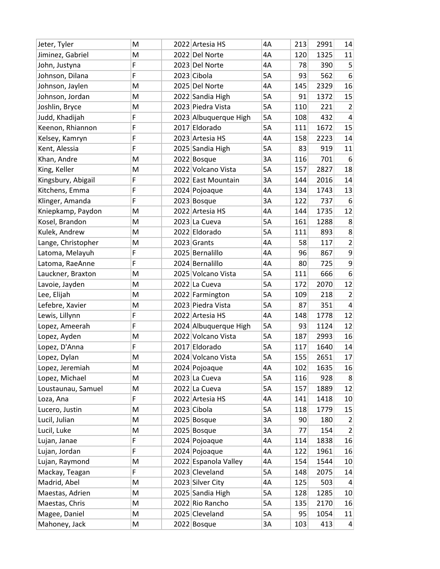| Jeter, Tyler       | M | 2022 Artesia HS       | 4A        | 213             | 2991 | 14               |
|--------------------|---|-----------------------|-----------|-----------------|------|------------------|
| Jiminez, Gabriel   | M | 2022 Del Norte        | 4A        | 120             | 1325 | 11               |
| John, Justyna      | F | 2023 Del Norte        | 4A        | 78              | 390  | 5                |
| Johnson, Dilana    | F | 2023 Cibola           | 5A        | 93              | 562  | $6 \overline{6}$ |
| Johnson, Jaylen    | M | 2025 Del Norte        | 4A        | 145             | 2329 | 16               |
| Johnson, Jordan    | M | 2022 Sandia High      | 5A        | 91              | 1372 | 15               |
| Joshlin, Bryce     | M | 2023 Piedra Vista     | 5A        | 110             | 221  | $\overline{2}$   |
| Judd, Khadijah     | F | 2023 Albuquerque High | 5A        | 108             | 432  | $\overline{4}$   |
| Keenon, Rhiannon   | F | 2017 Eldorado         | 5A        | 111             | 1672 | 15               |
| Kelsey, Kamryn     | F | 2023 Artesia HS       | 4A        | 158             | 2223 | 14               |
| Kent, Alessia      | F | 2025 Sandia High      | 5A        | 83              | 919  | 11               |
| Khan, Andre        | M | 2022 Bosque           | 3A        | 116             | 701  | $6 \overline{6}$ |
| King, Keller       | M | 2022 Volcano Vista    | 5A        | 157             | 2827 | 18               |
| Kingsbury, Abigail | F | 2022 East Mountain    | 3A        | 144             | 2016 | 14               |
| Kitchens, Emma     | F | 2024 Pojoaque         | 4A        | 134             | 1743 | 13               |
| Klinger, Amanda    | F | 2023 Bosque           | 3A        | 122             | 737  | $6 \overline{6}$ |
| Kniepkamp, Paydon  | M | 2022 Artesia HS       | 4A        | 144             | 1735 | 12               |
| Kosel, Brandon     | M | 2023 La Cueva         | 5A        | 161             | 1288 | 8                |
| Kulek, Andrew      | M | 2022 Eldorado         | 5A        | 111             | 893  | 8                |
| Lange, Christopher | M | 2023 Grants           | 4A        | 58              | 117  | $\overline{2}$   |
| Latoma, Melayuh    | F | 2025 Bernalillo       | 4A        | 96              | 867  | $\mathsf g$      |
| Latoma, RaeAnne    | F | 2024 Bernalillo       | 4A        | 80              | 725  | 9                |
| Lauckner, Braxton  | M | 2025 Volcano Vista    | 5A        | 111             | 666  | 6                |
| Lavoie, Jayden     | M | 2022 La Cueva         | 5A        | 172             | 2070 | 12               |
| Lee, Elijah        | M | 2022 Farmington       | 5A        | 109             | 218  | $\overline{2}$   |
| Lefebre, Xavier    | M | 2023 Piedra Vista     | 5A        | 87              | 351  | $\overline{4}$   |
| Lewis, Lillynn     | F | 2022 Artesia HS       | 4A        | 148             | 1778 | 12               |
| Lopez, Ameerah     | F | 2024 Albuquerque High | 5A        | 93              | 1124 | 12               |
| Lopez, Ayden       | M | 2022 Volcano Vista    | 5A        | 187             | 2993 | 16               |
| Lopez, D'Anna      | F | 2017 Eldorado         | 5A        | 117             | 1640 | 14               |
| Lopez, Dylan       | M | 2024 Volcano Vista    | <b>5A</b> | 155             | 2651 | 17               |
| Lopez, Jeremiah    | M | 2024 Pojoaque         | 4A        | 102             | 1635 | 16               |
| Lopez, Michael     | M | 2023 La Cueva         | 5A        | 116             | 928  | 8 <sup>°</sup>   |
| Loustaunau, Samuel | M | 2022 La Cueva         | 5A        | 157             | 1889 | 12               |
| Loza, Ana          | F | 2022 Artesia HS       | 4A        | 141             | 1418 | 10               |
| Lucero, Justin     | M | 2023 Cibola           | 5A        | 118             | 1779 | 15               |
| Lucil, Julian      | M | 2025 Bosque           | 3A        | 90 <sup>°</sup> | 180  | $\overline{2}$   |
| Lucil, Luke        | M | 2025 Bosque           | 3A        | 77              | 154  | $\overline{2}$   |
| Lujan, Janae       | F | 2024 Pojoaque         | 4A        | 114             | 1838 | 16               |
| Lujan, Jordan      | F | 2024 Pojoaque         | 4A        | 122             | 1961 | 16               |
| Lujan, Raymond     | M | 2022 Espanola Valley  | 4А        | 154             | 1544 | 10               |
| Mackay, Teagan     | F | 2023 Cleveland        | 5A        | 148             | 2075 | 14               |
| Madrid, Abel       | M | 2023 Silver City      | 4A        | 125             | 503  | $\overline{4}$   |
| Maestas, Adrien    | M | 2025 Sandia High      | 5A        | 128             | 1285 | 10               |
| Maestas, Chris     | M | 2022 Rio Rancho       | 5A        | 135             | 2170 | 16               |
| Magee, Daniel      | M | 2025 Cleveland        | 5A        | 95              | 1054 | 11               |
| Mahoney, Jack      | M | 2022 Bosque           | 3A        | 103             | 413  | 4                |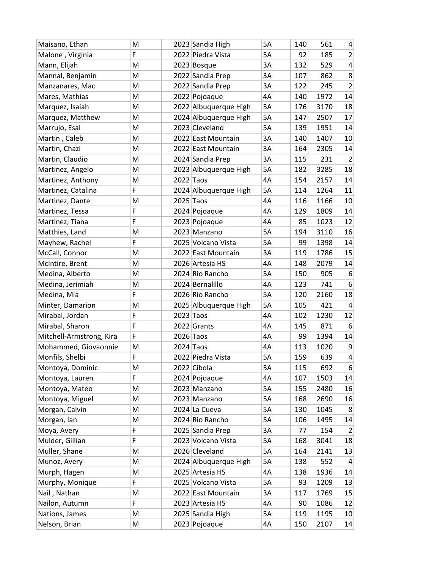| Maisano, Ethan           | M | 2023 Sandia High      | 5A        | 140 | 561  | 4                |
|--------------------------|---|-----------------------|-----------|-----|------|------------------|
| Malone, Virginia         | F | 2022 Piedra Vista     | 5A        | 92  | 185  | $\overline{2}$   |
| Mann, Elijah             | M | 2023 Bosque           | 3A        | 132 | 529  | $\pmb{4}$        |
| Mannal, Benjamin         | M | 2022 Sandia Prep      | 3A        | 107 | 862  | 8                |
| Manzanares, Mac          | M | 2022 Sandia Prep      | 3A        | 122 | 245  | $\overline{2}$   |
| Mares, Mathias           | M | 2022 Pojoaque         | 4A        | 140 | 1972 | 14               |
| Marquez, Isaiah          | M | 2022 Albuquerque High | 5A        | 176 | 3170 | 18               |
| Marquez, Matthew         | M | 2024 Albuquerque High | 5A        | 147 | 2507 | 17               |
| Marrujo, Esai            | M | 2023 Cleveland        | <b>5A</b> | 139 | 1951 | 14               |
| Martin, Caleb            | M | 2022 East Mountain    | 3A        | 140 | 1407 | 10               |
| Martin, Chazi            | M | 2022 East Mountain    | 3A        | 164 | 2305 | 14               |
| Martin, Claudio          | M | 2024 Sandia Prep      | 3A        | 115 | 231  | $\overline{2}$   |
| Martinez, Angelo         | M | 2023 Albuquerque High | 5A        | 182 | 3285 | 18               |
| Martinez, Anthony        | M | $2022$ Taos           | 4A        | 154 | 2157 | 14               |
| Martinez, Catalina       | F | 2024 Albuquerque High | 5A        | 114 | 1264 | 11               |
| Martinez, Dante          | M | 2025 Taos             | 4A        | 116 | 1166 | 10               |
| Martinez, Tessa          | F | 2024 Pojoaque         | 4A        | 129 | 1809 | 14               |
| Martinez, Tiana          | F | 2023 Pojoaque         | 4A        | 85  | 1023 | 12               |
| Matthies, Land           | M | 2023 Manzano          | 5A        | 194 | 3110 | 16               |
| Mayhew, Rachel           | F | 2025 Volcano Vista    | 5A        | 99  | 1398 | 14               |
| McCall, Connor           | M | 2022 East Mountain    | 3A        | 119 | 1786 | 15               |
| McIntire, Brent          | M | 2026 Artesia HS       | 4A        | 148 | 2079 | 14               |
| Medina, Alberto          | M | 2024 Rio Rancho       | 5A        | 150 | 905  | 6                |
| Medina, Jerimiah         | M | 2024 Bernalillo       | 4A        | 123 | 741  | $6 \overline{6}$ |
| Medina, Mia              | F | 2026 Rio Rancho       | 5A        | 120 | 2160 | 18               |
| Minter, Damarion         | M | 2025 Albuquerque High | 5A        | 105 | 421  | $\overline{4}$   |
| Mirabal, Jordan          | F | 2023 Taos             | 4A        | 102 | 1230 | 12               |
| Mirabal, Sharon          | F | 2022 Grants           | 4A        | 145 | 871  | 6                |
| Mitchell-Armstrong, Kira | F | 2026 Taos             | 4A        | 99  | 1394 | 14               |
| Mohammed, Giovaonnie     | M | $2024$ Taos           | 4A        | 113 | 1020 | 9                |
| Monfils, Shelbi          | F | 2022 Piedra Vista     | 5A        | 159 | 639  | $\overline{4}$   |
| Montoya, Dominic         | M | 2022 Cibola           | 5A        | 115 | 692  | 6                |
| Montoya, Lauren          | F | 2024 Pojoaque         | 4A        | 107 | 1503 | 14               |
| Montoya, Mateo           | M | 2023 Manzano          | 5A        | 155 | 2480 | 16               |
| Montoya, Miguel          | M | 2023 Manzano          | 5A        | 168 | 2690 | 16               |
| Morgan, Calvin           | M | 2024 La Cueva         | 5A        | 130 | 1045 | 8                |
| Morgan, lan              | M | 2024 Rio Rancho       | 5A        | 106 | 1495 | 14               |
| Moya, Avery              | F | 2025 Sandia Prep      | 3A        | 77  | 154  | $\overline{2}$   |
| Mulder, Gillian          | F | 2023 Volcano Vista    | 5A        | 168 | 3041 | 18               |
| Muller, Shane            | M | 2026 Cleveland        | 5A        | 164 | 2141 | 13               |
| Munoz, Avery             | M | 2024 Albuquerque High | 5A        | 138 | 552  | 4                |
| Murph, Hagen             | M | 2025 Artesia HS       | 4A        | 138 | 1936 | 14               |
| Murphy, Monique          | F | 2025 Volcano Vista    | 5A        | 93  | 1209 | 13               |
| Nail, Nathan             | M | 2022 East Mountain    | 3A        | 117 | 1769 | 15               |
| Nailon, Autumn           | F | 2023 Artesia HS       | 4A        | 90  | 1086 | 12               |
| Nations, James           | M | 2025 Sandia High      | 5A        | 119 | 1195 | 10               |
| Nelson, Brian            | M | 2023 Pojoaque         | 4A        | 150 | 2107 | 14               |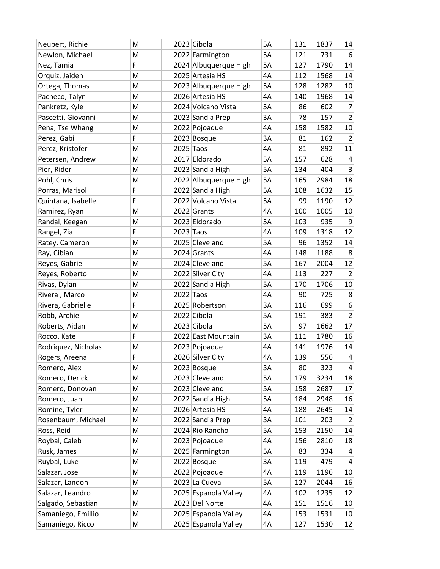| Neubert, Richie     | M | 2023 Cibola           | 5A | 131 | 1837 | 14               |
|---------------------|---|-----------------------|----|-----|------|------------------|
| Newlon, Michael     | M | 2022 Farmington       | 5A | 121 | 731  | $6 \overline{6}$ |
| Nez, Tamia          | F | 2024 Albuquerque High | 5A | 127 | 1790 | 14               |
| Orquiz, Jaiden      | M | 2025 Artesia HS       | 4A | 112 | 1568 | 14               |
| Ortega, Thomas      | M | 2023 Albuquerque High | 5A | 128 | 1282 | 10               |
| Pacheco, Talyn      | M | 2026 Artesia HS       | 4A | 140 | 1968 | 14               |
| Pankretz, Kyle      | M | 2024 Volcano Vista    | 5A | 86  | 602  | $\overline{7}$   |
| Pascetti, Giovanni  | M | 2023 Sandia Prep      | 3A | 78  | 157  | $\overline{2}$   |
| Pena, Tse Whang     | M | 2022 Pojoaque         | 4A | 158 | 1582 | 10               |
| Perez, Gabi         | F | 2023 Bosque           | 3A | 81  | 162  | $\overline{2}$   |
| Perez, Kristofer    | M | 2025 Taos             | 4A | 81  | 892  | 11               |
| Petersen, Andrew    | M | 2017 Eldorado         | 5A | 157 | 628  | 4                |
| Pier, Rider         | M | 2023 Sandia High      | 5A | 134 | 404  | 3                |
| Pohl, Chris         | M | 2022 Albuquerque High | 5A | 165 | 2984 | 18               |
| Porras, Marisol     | F | 2022 Sandia High      | 5A | 108 | 1632 | 15               |
| Quintana, Isabelle  | F | 2022 Volcano Vista    | 5A | 99  | 1190 | 12               |
| Ramirez, Ryan       | M | 2022 Grants           | 4A | 100 | 1005 | 10               |
| Randal, Keegan      | M | 2023 Eldorado         | 5A | 103 | 935  | 9                |
| Rangel, Zia         | F | 2023 Taos             | 4A | 109 | 1318 | 12               |
| Ratey, Cameron      | M | 2025 Cleveland        | 5A | 96  | 1352 | 14               |
| Ray, Cibian         | M | 2024 Grants           | 4A | 148 | 1188 | 8                |
| Reyes, Gabriel      | M | 2024 Cleveland        | 5A | 167 | 2004 | 12               |
| Reyes, Roberto      | M | 2022 Silver City      | 4A | 113 | 227  | $\overline{2}$   |
| Rivas, Dylan        | M | 2022 Sandia High      | 5A | 170 | 1706 | 10               |
| Rivera, Marco       | M | $2022$ Taos           | 4A | 90  | 725  | 8                |
| Rivera, Gabrielle   | F | 2025 Robertson        | 3A | 116 | 699  | $6\,$            |
| Robb, Archie        | M | 2022 Cibola           | 5A | 191 | 383  | $\overline{2}$   |
| Roberts, Aidan      | M | 2023 Cibola           | 5A | 97  | 1662 | 17               |
| Rocco, Kate         | F | 2022 East Mountain    | 3A | 111 | 1780 | 16               |
| Rodriguez, Nicholas | M | 2023 Pojoaque         | 4A | 141 | 1976 | 14               |
| Rogers, Areena      | F | 2026 Silver City      | 4A | 139 | 556  | $\overline{4}$   |
| Romero, Alex        | M | 2023 Bosque           | 3A | 80  | 323  | $\vert$          |
| Romero, Derick      | M | 2023 Cleveland        | 5A | 179 | 3234 | 18               |
| Romero, Donovan     | M | 2023 Cleveland        | 5A | 158 | 2687 | 17               |
| Romero, Juan        | M | 2022 Sandia High      | 5A | 184 | 2948 | 16               |
| Romine, Tyler       | M | 2026 Artesia HS       | 4A | 188 | 2645 | 14               |
| Rosenbaum, Michael  | M | 2022 Sandia Prep      | 3A | 101 | 203  | 2                |
| Ross, Reid          | M | 2024 Rio Rancho       | 5A | 153 | 2150 | 14               |
| Roybal, Caleb       | M | 2023 Pojoaque         | 4A | 156 | 2810 | 18               |
| Rusk, James         | M | 2025 Farmington       | 5A | 83  | 334  | $\overline{4}$   |
| Ruybal, Luke        | M | 2022 Bosque           | 3A | 119 | 479  | 4                |
| Salazar, Jose       | M | 2022 Pojoaque         | 4A | 119 | 1196 | 10               |
| Salazar, Landon     | M | 2023 La Cueva         | 5A | 127 | 2044 | 16               |
| Salazar, Leandro    | M | 2025 Espanola Valley  | 4A | 102 | 1235 | 12               |
| Salgado, Sebastian  | M | 2023 Del Norte        | 4A | 151 | 1516 | 10               |
| Samaniego, Emillio  | M | 2025 Espanola Valley  | 4А | 153 | 1531 | 10               |
| Samaniego, Ricco    | M | 2025 Espanola Valley  | 4A | 127 | 1530 | 12               |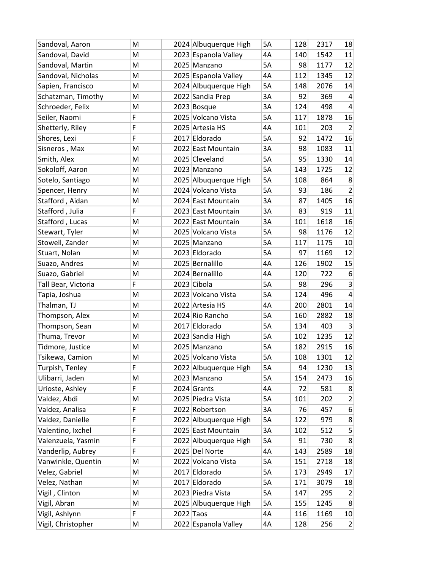| Sandoval, Aaron     | M | 2024 Albuquerque High | 5A | 128 | 2317 | 18               |
|---------------------|---|-----------------------|----|-----|------|------------------|
| Sandoval, David     | M | 2023 Espanola Valley  | 4A | 140 | 1542 | 11               |
| Sandoval, Martin    | M | 2025 Manzano          | 5A | 98  | 1177 | 12               |
| Sandoval, Nicholas  | M | 2025 Espanola Valley  | 4A | 112 | 1345 | 12               |
| Sapien, Francisco   | M | 2024 Albuquerque High | 5A | 148 | 2076 | 14               |
| Schatzman, Timothy  | M | 2022 Sandia Prep      | 3A | 92  | 369  | 4                |
| Schroeder, Felix    | M | 2023 Bosque           | 3A | 124 | 498  | $\overline{4}$   |
| Seiler, Naomi       | F | 2025 Volcano Vista    | 5A | 117 | 1878 | 16               |
| Shetterly, Riley    | F | 2025 Artesia HS       | 4A | 101 | 203  | $\overline{2}$   |
| Shores, Lexi        | F | 2017 Eldorado         | 5A | 92  | 1472 | 16               |
| Sisneros, Max       | M | 2022 East Mountain    | 3A | 98  | 1083 | 11               |
| Smith, Alex         | M | 2025 Cleveland        | 5A | 95  | 1330 | 14               |
| Sokoloff, Aaron     | M | 2023 Manzano          | 5A | 143 | 1725 | 12               |
| Sotelo, Santiago    | M | 2025 Albuquerque High | 5A | 108 | 864  | 8                |
| Spencer, Henry      | M | 2024 Volcano Vista    | 5A | 93  | 186  | $\overline{2}$   |
| Stafford, Aidan     | M | 2024 East Mountain    | 3A | 87  | 1405 | 16               |
| Stafford, Julia     | F | 2023 East Mountain    | 3A | 83  | 919  | 11               |
| Stafford, Lucas     | M | 2022 East Mountain    | 3A | 101 | 1618 | 16               |
| Stewart, Tyler      | M | 2025 Volcano Vista    | 5A | 98  | 1176 | 12               |
| Stowell, Zander     | M | 2025 Manzano          | 5A | 117 | 1175 | 10               |
| Stuart, Nolan       | M | 2023 Eldorado         | 5A | 97  | 1169 | 12               |
| Suazo, Andres       | M | 2025 Bernalillo       | 4Α | 126 | 1902 | 15               |
| Suazo, Gabriel      | M | 2024 Bernalillo       | 4A | 120 | 722  | $6 \overline{6}$ |
| Tall Bear, Victoria | F | 2023 Cibola           | 5A | 98  | 296  | $\overline{3}$   |
| Tapia, Joshua       | M | 2023 Volcano Vista    | 5A | 124 | 496  | $\overline{4}$   |
| Thalman, TJ         | M | 2022 Artesia HS       | 4A | 200 | 2801 | 14               |
| Thompson, Alex      | M | 2024 Rio Rancho       | 5A | 160 | 2882 | 18               |
| Thompson, Sean      | M | 2017 Eldorado         | 5A | 134 | 403  | 3                |
| Thuma, Trevor       | M | 2023 Sandia High      | 5A | 102 | 1235 | 12               |
| Tidmore, Justice    | M | 2025 Manzano          | 5A | 182 | 2915 | 16               |
| Tsikewa, Camion     | M | 2025 Volcano Vista    | 5A | 108 | 1301 | 12               |
| Turpish, Tenley     | F | 2022 Albuquerque High | 5A | 94  | 1230 | 13               |
| Ulibarri, Jaden     | M | 2023 Manzano          | 5A | 154 | 2473 | 16               |
| Urioste, Ashley     | F | 2024 Grants           | 4A | 72  | 581  | 8                |
| Valdez, Abdi        | M | 2025 Piedra Vista     | 5A | 101 | 202  | $\overline{2}$   |
| Valdez, Analisa     | F | 2022 Robertson        | 3A | 76  | 457  | 6                |
| Valdez, Danielle    | F | 2022 Albuquerque High | 5A | 122 | 979  | 8                |
| Valentino, Ixchel   | F | 2025 East Mountain    | 3A | 102 | 512  | $\mathsf{5}$     |
| Valenzuela, Yasmin  | F | 2022 Albuquerque High | 5A | 91  | 730  | 8                |
| Vanderlip, Aubrey   | F | 2025 Del Norte        | 4A | 143 | 2589 | 18               |
| Vanwinkle, Quentin  | M | 2022 Volcano Vista    | 5A | 151 | 2718 | 18               |
| Velez, Gabriel      | M | 2017 Eldorado         | 5A | 173 | 2949 | 17               |
| Velez, Nathan       | M | 2017 Eldorado         | 5A | 171 | 3079 | 18               |
| Vigil, Clinton      | M | 2023 Piedra Vista     | 5A | 147 | 295  | $\overline{2}$   |
| Vigil, Abran        | M | 2025 Albuquerque High | 5A | 155 | 1245 | 8                |
| Vigil, Ashlynn      | F | $2022$ Taos           | 4A | 116 | 1169 | 10               |
| Vigil, Christopher  | M | 2022 Espanola Valley  | 4A | 128 | 256  | $\left  \right $ |